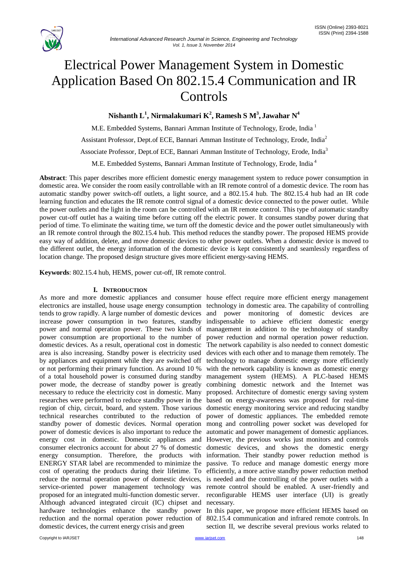

# Electrical Power Management System in Domestic Application Based On 802.15.4 Communication and IR Controls

# **Nishanth L<sup>1</sup> , Nirmalakumari K 2 , Ramesh S M<sup>3</sup> , Jawahar N<sup>4</sup>**

M.E. Embedded Systems, Bannari Amman Institute of Technology, Erode, India <sup>1</sup> Assistant Professor, Dept.of ECE, Bannari Amman Institute of Technology, Erode, India<sup>2</sup> Associate Professor, Dept.of ECE, Bannari Amman Institute of Technology, Erode, India<sup>3</sup> M.E. Embedded Systems, Bannari Amman Institute of Technology, Erode, India <sup>4</sup>

**Abstract**: This paper describes more efficient domestic energy management system to reduce power consumption in domestic area. We consider the room easily controllable with an IR remote control of a domestic device. The room has automatic standby power switch-off outlets, a light source, and a 802.15.4 hub. The 802.15.4 hub had an IR code learning function and educates the IR remote control signal of a domestic device connected to the power outlet. While the power outlets and the light in the room can be controlled with an IR remote control. This type of automatic standby power cut-off outlet has a waiting time before cutting off the electric power. It consumes standby power during that period of time. To eliminate the waiting time, we turn off the domestic device and the power outlet simultaneously with an IR remote control through the 802.15.4 hub. This method reduces the standby power. The proposed HEMS provide easy way of addition, delete, and move domestic devices to other power outlets. When a domestic device is moved to the different outlet, the energy information of the domestic device is kept consistently and seamlessly regardless of location change. The proposed design structure gives more efficient energy-saving HEMS.

**Keywords**: 802.15.4 hub, HEMS, power cut-off, IR remote control.

# **I. INTRODUCTION**

As more and more domestic appliances and consumer house effect require more efficient energy management electronics are installed, house usage energy consumption technology in domestic area. The capability of controlling tends to grow rapidly. A large number of domestic devices and power monitoring of domestic devices are increase power consumption in two features, standby indispensable to achieve efficient domestic energy power and normal operation power. These two kinds of management in addition to the technology of standby power consumption are proportional to the number of power reduction and normal operation power reduction. domestic devices. As a result, operational cost in domestic area is also increasing. Standby power is electricity used devices with each other and to manage them remotely. The by appliances and equipment while they are switched off technology to manage domestic energy more efficiently or not performing their primary function. As around 10 % of a total household power is consumed during standby management system (HEMS). A PLC-based HEMS power mode, the decrease of standby power is greatly combining domestic network and the Internet was necessary to reduce the electricity cost in domestic. Many proposed. Architecture of domestic energy saving system researches were performed to reduce standby power in the based on energy-awareness was proposed for real-time region of chip, circuit, board, and system. Those various domestic energy monitoring service and reducing standby technical researches contributed to the reduction of power of domestic appliances. The embedded remote standby power of domestic devices. Normal operation mong and controlling power socket was developed for power of domestic devices is also important to reduce the automatic and power management of domestic appliances. energy cost in domestic. Domestic appliances and However, the previous works just monitors and controls consumer electronics account for about 27 % of domestic domestic devices, and shows the domestic energy energy consumption. Therefore, the products with information. Their standby power reduction method is ENERGY STAR label are recommended to minimize the passive. To reduce and manage domestic energy more cost of operating the products during their lifetime. To efficiently, a more active standby power reduction method reduce the normal operation power of domestic devices, is needed and the controlling of the power outlets with a service-oriented power management technology was remote control should be enabled. A user-friendly and proposed for an integrated multi-function domestic server. reconfigurable HEMS user interface (UI) is greatly Although advanced integrated circuit (IC) chipset and necessary. hardware technologies enhance the standby power In this paper, we propose more efficient HEMS based on reduction and the normal operation power reduction of 802.15.4 communication and infrared remote controls. In domestic devices, the current energy crisis and green

The network capability is also needed to connect domestic with the network capability is known as domestic energy

section II, we describe several previous works related to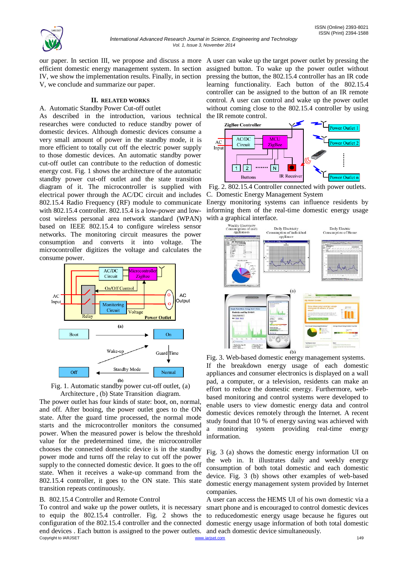

our paper. In section III, we propose and discuss a more A user can wake up the target power outlet by pressing the efficient domestic energy management system. In section IV, we show the implementation results. Finally, in section V, we conclude and summarize our paper.

# **II. RELATED WORKS**

# A. Automatic Standby Power Cut-off outlet

As described in the introduction, various technical researches were conducted to reduce standby power of domestic devices. Although domestic devices consume a very small amount of power in the standby mode, it is more efficient to totally cut off the electric power supply to those domestic devices. An automatic standby power cut-off outlet can contribute to the reduction of domestic energy cost. Fig. 1 shows the architecture of the automatic standby power cut-off outlet and the state transition diagram of it. The microcontroller is supplied with electrical power through the AC/DC circuit and includes 802.15.4 Radio Frequency (RF) module to communicate with 802.15.4 controller. 802.15.4 is a low-power and lowcost wireless personal area network standard (WPAN) based on IEEE 802.15.4 to configure wireless sensor networks. The monitoring circuit measures the power consumption and converts it into voltage. The microcontroller digitizes the voltage and calculates the consume power.



Fig. 1. Automatic standby power cut-off outlet, (a) Architecture , (b) State Transition diagram.

The power outlet has four kinds of state: boot, on, normal, and off. After booing, the power outlet goes to the ON state. After the guard time processed, the normal mode starts and the microcontroller monitors the consumed power. When the measured power is below the threshold value for the predetermined time, the microcontroller chooses the connected domestic device is in the standby power mode and turns off the relay to cut off the power supply to the connected domestic device. It goes to the off state. When it receives a wake-up command from the 802.15.4 controller, it goes to the ON state. This state transition repeats continuously.

## B. 802.15.4 Controller and Remote Control

end devices. Each button is assigned to the power outlets. and each domestic device simultaneously.<br>
Copyright to LARJSET 149 To control and wake up the power outlets, it is necessary to equip the 802.15.4 controller. Fig. 2 shows the configuration of the 802.15.4 controller and the connected

assigned button. To wake up the power outlet without pressing the button, the 802.15.4 controller has an IR code learning functionality. Each button of the 802.15.4 controller can be assigned to the button of an IR remote control. A user can control and wake up the power outlet without coming close to the 802.15.4 controller by using the IR remote control.



Fig. 2. 802.15.4 Controller connected with power outlets. C. Domestic Energy Management System

Energy monitoring systems can influence residents by informing them of the real-time domestic energy usage



Fig. 3. Web-based domestic energy management systems. If the breakdown energy usage of each domestic appliances and consumer electronics is displayed on a wall pad, a computer, or a television, residents can make an effort to reduce the domestic energy. Furthermore, webbased monitoring and control systems were developed to enable users to view domestic energy data and control domestic devices remotely through the Internet. A recent study found that 10 % of energy saving was achieved with a monitoring system providing real-time energy information.

Fig. 3 (a) shows the domestic energy information UI on the web in. It illustrates daily and weekly energy consumption of both total domestic and each domestic device. Fig. 3 (b) shows other examples of web-based domestic energy management system provided by Internet companies.

A user can access the HEMS UI of his own domestic via a smart phone and is encouraged to control domestic devices to reducedomestic energy usage because he figures out domestic energy usage information of both total domestic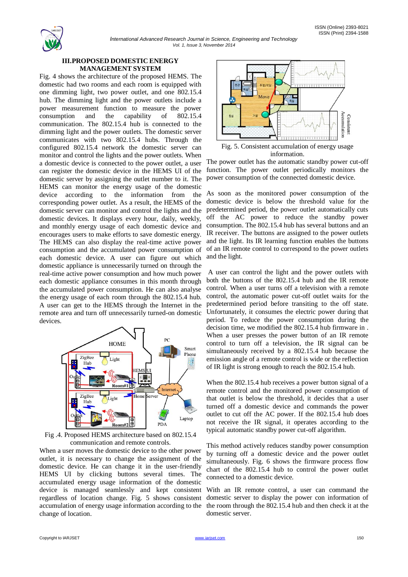#### ISSN (Online) 2393-8021 ISSN (Print) 2394-1588

# **III.PROPOSED DOMESTIC ENERGY MANAGEMENT SYSTEM**

Fig. 4 shows the architecture of the proposed HEMS. The domestic had two rooms and each room is equipped with one dimming light, two power outlet, and one 802.15.4 hub. The dimming light and the power outlets include a power measurement function to measure the power consumption and the capability of 802.15.4 communication. The 802.15.4 hub is connected to the dimming light and the power outlets. The domestic server communicates with two 802.15.4 hubs. Through the configured 802.15.4 network the domestic server can monitor and control the lights and the power outlets. When a domestic device is connected to the power outlet, a user can register the domestic device in the HEMS UI of the domestic server by assigning the outlet number to it. The HEMS can monitor the energy usage of the domestic device according to the information from the corresponding power outlet. As a result, the HEMS of the domestic server can monitor and control the lights and the domestic devices. It displays every hour, daily, weekly, and monthly energy usage of each domestic device and encourages users to make efforts to save domestic energy. The HEMS can also display the real-time active power consumption and the accumulated power consumption of each domestic device. A user can figure out which domestic appliance is unnecessarily turned on through the real-time active power consumption and how much power each domestic appliance consumes in this month through the accumulated power consumption. He can also analyse the energy usage of each room through the 802.15.4 hub. A user can get to the HEMS through the Internet in the remote area and turn off unnecessarily turned-on domestic devices.



Fig .4. Proposed HEMS architecture based on 802.15.4 communication and remote controls.

When a user moves the domestic device to the other power outlet, it is necessary to change the assignment of the domestic device. He can change it in the user-friendly HEMS UI by clicking buttons several times. The accumulated energy usage information of the domestic device is managed seamlessly and kept consistent regardless of location change. Fig. 5 shows consistent accumulation of energy usage information according to the change of location.



information.

The power outlet has the automatic standby power cut-off function. The power outlet periodically monitors the power consumption of the connected domestic device.

As soon as the monitored power consumption of the domestic device is below the threshold value for the predetermined period, the power outlet automatically cuts off the AC power to reduce the standby power consumption. The 802.15.4 hub has several buttons and an IR receiver. The buttons are assigned to the power outlets and the light. Its IR learning function enables the buttons of an IR remote control to correspond to the power outlets and the light.

A user can control the light and the power outlets with both the buttons of the 802.15.4 hub and the IR remote control. When a user turns off a television with a remote control, the automatic power cut-off outlet waits for the predetermined period before transiting to the off state. Unfortunately, it consumes the electric power during that period. To reduce the power consumption during the decision time, we modified the 802.15.4 hub firmware in . When a user presses the power button of an IR remote control to turn off a television, the IR signal can be simultaneously received by a 802.15.4 hub because the emission angle of a remote control is wide or the reflection of IR light is strong enough to reach the 802.15.4 hub.

When the 802.15.4 hub receives a power button signal of a remote control and the monitored power consumption of that outlet is below the threshold, it decides that a user turned off a domestic device and commands the power outlet to cut off the AC power. If the 802.15.4 hub does not receive the IR signal, it operates according to the typical automatic standby power cut-off algorithm.

This method actively reduces standby power consumption by turning off a domestic device and the power outlet simultaneously. Fig. 6 shows the firmware process flow chart of the 802.15.4 hub to control the power outlet connected to a domestic device.

With an IR remote control, a user can command the domestic server to display the power con information of the room through the 802.15.4 hub and then check it at the domestic server.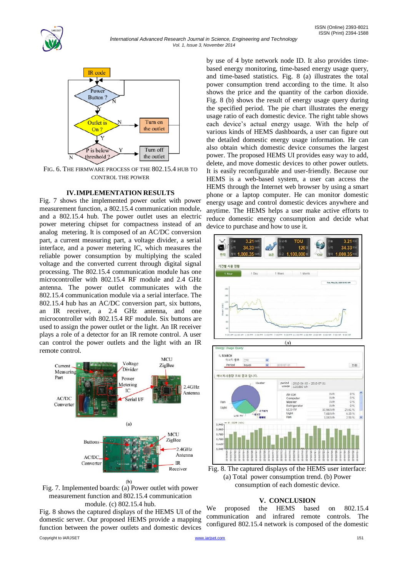



FIG. 6. THE FIRMWARE PROCESS OF THE 802.15.4 HUB TO CONTROL THE POWER

#### **IV.IMPLEMENTATION RESULTS**

Fig. 7 shows the implemented power outlet with power measurement function, a 802.15.4 communication module, and a 802.15.4 hub. The power outlet uses an electric power metering chipset for compactness instead of an analog metering. It is composed of an AC/DC conversion part, a current measuring part, a voltage divider, a serial interface, and a power metering IC, which measures the reliable power consumption by multiplying the scaled voltage and the converted current through digital signal processing. The 802.15.4 communication module has one microcontroller with 802.15.4 RF module and 2.4 GHz antenna. The power outlet communicates with the 802.15.4 communication module via a serial interface. The 802.15.4 hub has an AC/DC conversion part, six buttons, an IR receiver, a 2.4 GHz antenna, and one microcontroller with 802.15.4 RF module. Six buttons are used to assign the power outlet or the light. An IR receiver plays a role of a detector for an IR remote control. A user can control the power outlets and the light with an IR remote control.





Fig. 8 shows the captured displays of the HEMS UI of the domestic server. Our proposed HEMS provide a mapping function between the power outlets and domestic devices

by use of 4 byte network node ID. It also provides timebased energy monitoring, time-based energy usage query, and time-based statistics. Fig. 8 (a) illustrates the total power consumption trend according to the time. It also shows the price and the quantity of the carbon dioxide. Fig. 8 (b) shows the result of energy usage query during the specified period. The pie chart illustrates the energy usage ratio of each domestic device. The right table shows each device's actual energy usage. With the help of various kinds of HEMS dashboards, a user can figure out the detailed domestic energy usage information. He can also obtain which domestic device consumes the largest power. The proposed HEMS UI provides easy way to add, delete, and move domestic devices to other power outlets. It is easily reconfigurable and user-friendly. Because our HEMS is a web-based system, a user can access the HEMS through the Internet web browser by using a smart phone or a laptop computer. He can monitor domestic energy usage and control domestic devices anywhere and anytime. The HEMS helps a user make active efforts to reduce domestic energy consumption and decide what device to purchase and how to use it.





Fig. 8. The captured displays of the HEMS user interface: (a) Total power consumption trend. (b) Power consumption of each domestic device.

## **V. CONCLUSION**

We proposed the HEMS based on 802.15.4 communication and infrared remote controls. The configured 802.15.4 network is composed of the domestic